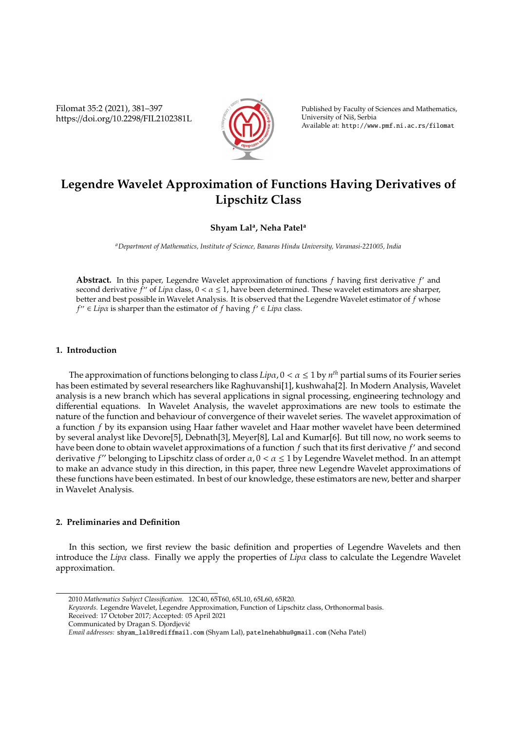Filomat 35:2 (2021), 381–397 https://doi.org/10.2298/FIL2102381L



Published by Faculty of Sciences and Mathematics, University of Niš, Serbia Available at: http://www.pmf.ni.ac.rs/filomat

# **Legendre Wavelet Approximation of Functions Having Derivatives of Lipschitz Class**

### **Shyam Lal<sup>a</sup> , Neha Patel<sup>a</sup>**

*<sup>a</sup>Department of Mathematics, Institute of Science, Banaras Hindu University, Varanasi-221005, India*

Abstract. In this paper, Legendre Wavelet approximation of functions f having first derivative f' and second derivative *f<sup>11</sup>* of *Lipα* class, 0 < *α* ≤ 1, have been determined. These wavelet estimators are sharper, better and best possible in Wavelet Analysis. It is observed that the Legendre Wavelet estimator of *f* whose  $f'' \in Lip\alpha$  is sharper than the estimator of *f* having  $f' \in Lip\alpha$  class.

### **1. Introduction**

The approximation of functions belonging to class  $Lip\alpha$ ,  $0 < \alpha \leq 1$  by  $n^{th}$  partial sums of its Fourier series has been estimated by several researchers like Raghuvanshi[1], kushwaha[2]. In Modern Analysis, Wavelet analysis is a new branch which has several applications in signal processing, engineering technology and differential equations. In Wavelet Analysis, the wavelet approximations are new tools to estimate the nature of the function and behaviour of convergence of their wavelet series. The wavelet approximation of a function *f* by its expansion using Haar father wavelet and Haar mother wavelet have been determined by several analyst like Devore[5], Debnath[3], Meyer[8], Lal and Kumar[6]. But till now, no work seems to have been done to obtain wavelet approximations of a function  $f$  such that its first derivative  $f'$  and second derivative *f*" belonging to Lipschitz class of order  $\alpha$ ,  $0 < \alpha \le 1$  by Legendre Wavelet method. In an attempt to make an advance study in this direction, in this paper, three new Legendre Wavelet approximations of these functions have been estimated. In best of our knowledge, these estimators are new, better and sharper in Wavelet Analysis.

### **2. Preliminaries and Definition**

In this section, we first review the basic definition and properties of Legendre Wavelets and then introduce the *Lip*α class. Finally we apply the properties of *Lip*α class to calculate the Legendre Wavelet approximation.

<sup>2010</sup> *Mathematics Subject Classification*. 12C40, 65T60, 65L10, 65L60, 65R20.

*Keywords*. Legendre Wavelet, Legendre Approximation, Function of Lipschitz class, Orthonormal basis. Received: 17 October 2017; Accepted: 05 April 2021

Communicated by Dragan S. Djordjevic´

*Email addresses:* shyam\_lal@rediffmail.com (Shyam Lal), patelnehabhu@gmail.com (Neha Patel)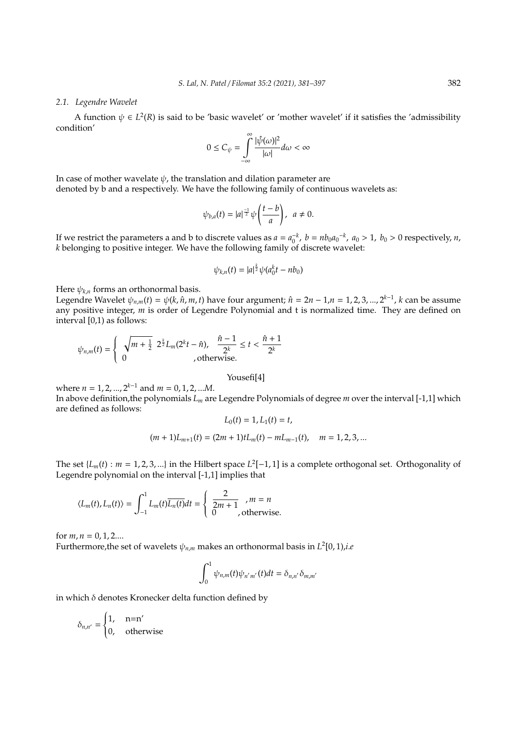#### *2.1. Legendre Wavelet*

A function  $\psi \in L^2(\mathbb{R})$  is said to be 'basic wavelet' or 'mother wavelet' if it satisfies the 'admissibility condition'

$$
0\leq C_\psi=\int\limits_{-\infty}^\infty \frac{|\hat{\psi}(\omega)|^2}{|\omega|}d\omega<\infty
$$

In case of mother wavelate  $\psi$ , the translation and dilation parameter are denoted by b and a respectively. We have the following family of continuous wavelets as:

$$
\psi_{b,a}(t)=|a|^{\frac{-1}{2}}\psi\left(\frac{t-b}{a}\right), a\neq 0.
$$

If we restrict the parameters a and b to discrete values as  $a = a_0^{-k}$ ,  $b = nb_0a_0^{-k}$ ,  $a_0 > 1$ ,  $b_0 > 0$  respectively, *n*, *k* belonging to positive integer. We have the following family of discrete wavelet:

$$
\psi_{k,n}(t) = |a|^{\frac{k}{2}} \psi(a_0^k t - nb_0)
$$

Here  $\psi_{k,n}$  forms an orthonormal basis.

Legendre Wavelet  $\psi_{n,m}(t) = \psi(k, \hat{n}, m, t)$  have four argument;  $\hat{n} = 2n - 1, n = 1, 2, 3, ..., 2^{k-1}$ , *k* can be assume any positive integer, *m* is order of Legendre Polynomial and t is normalized time. They are defined on interval [0,1) as follows:

$$
\psi_{n,m}(t) = \left\{ \begin{array}{ll} \sqrt{m+\frac{1}{2}} \ 2^{\frac{k}{2}} L_m(2^k t - \hat{n}), & \frac{\hat{n}-1}{2^k} \leq t < \frac{\hat{n}+1}{2^k} \\ 0 & , \text{otherwise}. \end{array} \right.
$$

Yousefi[4]

where  $n = 1, 2, ..., 2^{k-1}$  and  $m = 0, 1, 2, ...M$ . In above definition,the polynomials *L<sup>m</sup>* are Legendre Polynomials of degree *m* over the interval [-1,1] which are defined as follows:

$$
L_0(t) = 1, L_1(t) = t,
$$

$$
(m+1)L_{m+1}(t)=(2m+1)tL_m(t)-mL_{m-1}(t), \quad m=1,2,3,...
$$

The set  $\{L_m(t) : m = 1, 2, 3, ...\}$  in the Hilbert space  $L^2[-1, 1]$  is a complete orthogonal set. Orthogonality of Legendre polynomial on the interval [-1,1] implies that

$$
\langle L_m(t), L_n(t) \rangle = \int_{-1}^1 L_m(t) \overline{L_n(t)} dt = \begin{cases} \frac{2}{2m+1}, & m = n \\ 0, & \text{otherwise.} \end{cases}
$$

for  $m, n = 0, 1, 2...$ 

Furthermore,the set of wavelets  $\psi_{n,m}$  makes an orthonormal basis in  $L^2[0,1)$ ,*i.e* 

$$
\int_0^1 \psi_{n,m}(t)\psi_{n'm'}(t)dt = \delta_{n,n'}\delta_{m,m'}
$$

in which  $\delta$  denotes Kronecker delta function defined by

$$
\delta_{n,n'} = \begin{cases} 1, & n = n' \\ 0, & \text{otherwise} \end{cases}
$$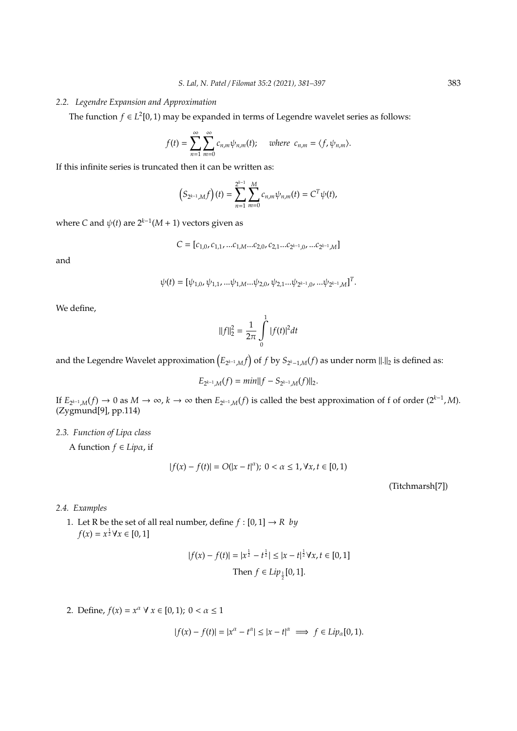.

#### *2.2. Legendre Expansion and Approximation*

The function  $f \in L^2[0,1)$  may be expanded in terms of Legendre wavelet series as follows:

$$
f(t) = \sum_{n=1}^{\infty} \sum_{m=0}^{\infty} c_{n,m} \psi_{n,m}(t); \quad \text{where } c_{n,m} = \langle f, \psi_{n,m} \rangle.
$$

If this infinite series is truncated then it can be written as:

$$
(S_{2^{k-1},M}f)(t) = \sum_{n=1}^{2^{k-1}} \sum_{m=0}^{M} c_{n,m} \psi_{n,m}(t) = C^T \psi(t),
$$

where *C* and  $\psi(t)$  are  $2^{k-1}(M + 1)$  vectors given as

$$
C = [c_{1,0}, c_{1,1}, ...c_{1,M}...c_{2,0}, c_{2,1}...c_{2^{k-1},0}, ...c_{2^{k-1},M}]
$$

and

$$
\psi(t) = [\psi_{1,0}, \psi_{1,1}, \dots \psi_{1,M} \dots \psi_{2,0}, \psi_{2,1} \dots \psi_{2^{k-1},0}, \dots \psi_{2^{k-1},M}]^T
$$

We define,

$$
||f||_2^2 = \frac{1}{2\pi} \int_0^1 |f(t)|^2 dt
$$

and the Legendre Wavelet approximation  $\left(E_{2^{k-1},M}f\right)$  of  $f$  by  $S_{2^k-1,M}(f)$  as under norm  $\|.\|_2$  is defined as:

$$
E_{2^{k-1},M}(f) = min||f - S_{2^{k-1},M}(f)||_2.
$$

If  $E_{2^{k-1},M}(f) \to 0$  as  $M \to \infty$ ,  $k \to \infty$  then  $E_{2^{k-1},M}(f)$  is called the best approximation of f of order  $(2^{k-1},M)$ . (Zygmund[9], pp.114)

### *2.3. Function of Lip*α *class*

A function *f* ∈ *Lip*α, if

$$
|f(x) - f(t)| = O(|x - t|^{\alpha}); \ 0 < \alpha \le 1, \forall x, t \in [0, 1)
$$

(Titchmarsh[7])

### *2.4. Examples*

1. Let R be the set of all real number, define  $f : [0,1] \rightarrow R$  by  $f(x) = x^{\frac{1}{2}} \forall x \in [0, 1]$ 

$$
|f(x) - f(t)| = |x^{\frac{1}{2}} - t^{\frac{1}{2}}| \le |x - t|^{\frac{1}{2}} \forall x, t \in [0, 1]
$$
  
Then  $f \in Lip_{\frac{1}{2}}[0, 1].$ 

2. Define,  $f(x) = x^{\alpha} \forall x \in [0, 1); 0 < \alpha \le 1$ 

$$
|f(x) - f(t)| = |x^{\alpha} - t^{\alpha}| \le |x - t|^{\alpha} \implies f \in Lip_{\alpha}[0, 1).
$$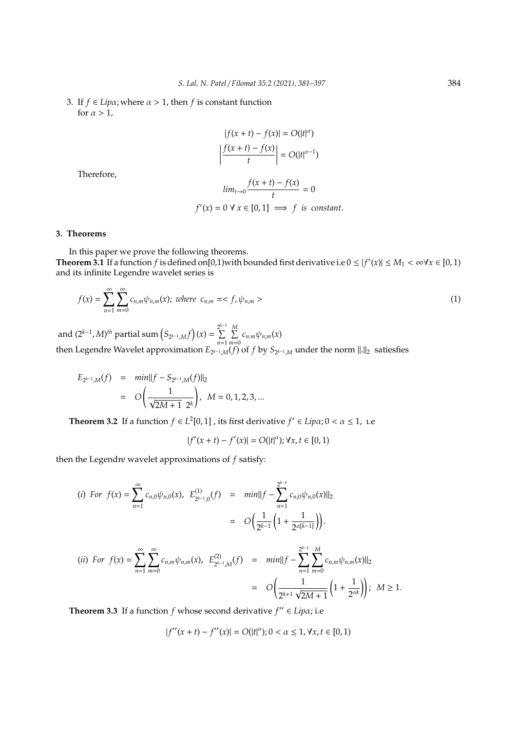3. If  $f \in Lip\alpha$ ; where  $\alpha > 1$ , then  $f$  is constant function for  $\alpha > 1$ ,

$$
|f(x+t) - f(x)| = O(|t|^{\alpha})
$$

$$
\left| \frac{f(x+t) - f(x)}{t} \right| = O(|t|^{\alpha - 1})
$$

Therefore,

$$
\lim_{t \to 0} \frac{f(x+t) - f(x)}{t} = 0
$$
  
 $f'(x) = 0 \forall x \in [0, 1] \implies f \text{ is constant.}$ 

### **3. Theorems**

In this paper we prove the following theorems. **Theorem 3.1** If a function *f* is defined on [0,1) with bounded first derivative i.e  $0 \le |f'(x)| \le M_1 < \infty$   $\forall x \in [0,1)$ and its infinite Legendre wavelet series is

$$
f(x) = \sum_{n=1}^{\infty} \sum_{m=0}^{\infty} c_{n,m} \psi_{n,m}(x); \text{ where } c_{n,m} = \langle f, \psi_{n,m} \rangle
$$
 (1)

and  $(2^{k-1}, M)^{th}$  partial sum  $(S_{2^{k-1}, M} f)(x) = \sum_{k=1}^{2^{k-1}}$  $\sum$ *n*=1 P *M*  $\sum_{m=0}$   $c_{n,m}\psi_{n,m}(x)$ then Legendre Wavelet approximation  $E_{2^{k-1},M}(f)$  of  $f$  by  $S_{2^{k-1},M}$  under the norm  $\|\cdot\|_2$  satiesfies

$$
E_{2^{k-1},M}(f) = min||f - S_{2^{k-1},M}(f)||_2
$$
  
=  $O\left(\frac{1}{\sqrt{2M+1} 2^k}\right), M = 0, 1, 2, 3, ...$ 

**Theorem 3.2** If a function  $f \in L^2[0,1]$ , its first derivative  $f' \in Lip\alpha$ ;  $0 < \alpha \leq 1$ , 1.e

$$
|f'(x+t) - f'(x)| = O(|t|^{\alpha}); \forall x, t \in [0,1)
$$

then the Legendre wavelet approximations of *f* satisfy:

(i) For 
$$
f(x) = \sum_{n=1}^{\infty} c_{n,0} \psi_{n,0}(x)
$$
,  $E_{2^{k-1},0}^{(1)}(f) = min ||f - \sum_{n=1}^{2^{k-1}} c_{n,0} \psi_{n,0}(x) ||_2$   

$$
= O\left(\frac{1}{2^{k-1}} \left(1 + \frac{1}{2^{\alpha[k-1]}}\right)\right).
$$

(ii) For 
$$
f(x) = \sum_{n=1}^{\infty} \sum_{m=0}^{\infty} c_{n,m} \psi_{n,m}(x)
$$
,  $E_{2^{k-1},M}^{(2)}(f) = min \Vert f - \sum_{n=1}^{2^{k-1}} \sum_{m=0}^{M} c_{n,m} \psi_{n,m}(x) \Vert_2$   

$$
= O\left(\frac{1}{2^{k+1} \sqrt{2M+1}} \left(1 + \frac{1}{2^{\alpha k}}\right)\right); \quad M \ge 1.
$$

**Theorem 3.3** If a function  $f$  whose second derivative  $f'' \in Lip\alpha$ ; i.e

$$
|f''(x+t) - f''(x)| = O(|t|^{\alpha}); 0 < \alpha \le 1, \forall x, t \in [0,1)
$$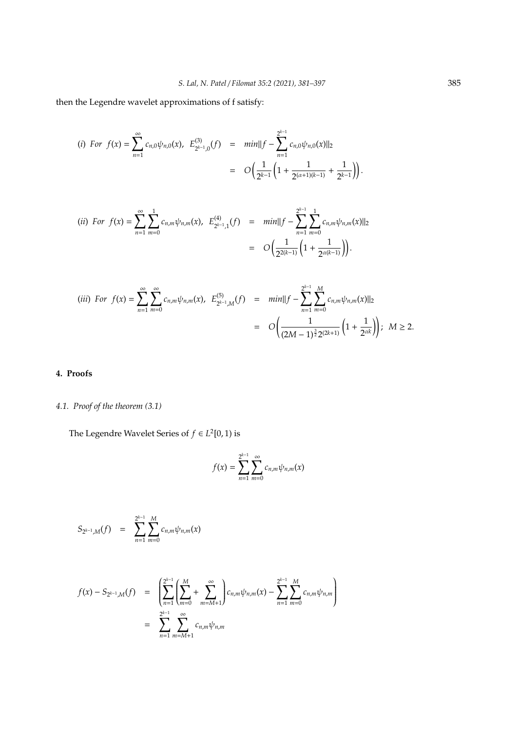then the Legendre wavelet approximations of f satisfy:

(i) For 
$$
f(x) = \sum_{n=1}^{\infty} c_{n,0} \psi_{n,0}(x)
$$
,  $E_{2^{k-1},0}^{(3)}(f) = min \Vert f - \sum_{n=1}^{2^{k-1}} c_{n,0} \psi_{n,0}(x) \Vert_2$   

$$
= O\left(\frac{1}{2^{k-1}} \left(1 + \frac{1}{2^{(\alpha+1)(k-1)}} + \frac{1}{2^{k-1}}\right)\right).
$$

(ii) For 
$$
f(x) = \sum_{n=1}^{\infty} \sum_{m=0}^{1} c_{n,m} \psi_{n,m}(x)
$$
,  $E_{2^{k-1},1}^{(4)}(f) = min \Vert f - \sum_{n=1}^{2^{k-1}} \sum_{m=0}^{1} c_{n,m} \psi_{n,m}(x) \Vert_2$   

$$
= O\left(\frac{1}{2^{2(k-1)}} \left(1 + \frac{1}{2^{\alpha(k-1)}}\right)\right).
$$

$$
(iii) \ \ For \ f(x) = \sum_{n=1}^{\infty} \sum_{m=0}^{\infty} c_{n,m} \psi_{n,m}(x), \ E_{2^{k-1},M}^{(5)}(f) = min \|\ f - \sum_{n=1}^{2^{k-1}} \sum_{m=0}^{M} c_{n,m} \psi_{n,m}(x)\|_2
$$

$$
= O\left(\frac{1}{(2M-1)^{\frac{3}{2}} 2^{(2k+1)}} \left(1 + \frac{1}{2^{\alpha k}}\right)\right); \ M \ge 2.
$$

### **4. Proofs**

# *4.1. Proof of the theorem (3.1)*

The Legendre Wavelet Series of  $f \in L^2[0,1)$  is

$$
f(x) = \sum_{n=1}^{2^{k-1}} \sum_{m=0}^{\infty} c_{n,m} \psi_{n,m}(x)
$$

$$
S_{2^{k-1},M}(f) = \sum_{n=1}^{2^{k-1}} \sum_{m=0}^{M} c_{n,m} \psi_{n,m}(x)
$$

$$
f(x) - S_{2^{k-1},M}(f) = \left( \sum_{n=1}^{2^{k-1}} \left( \sum_{m=0}^{M} + \sum_{m=M+1}^{\infty} \right) c_{n,m} \psi_{n,m}(x) - \sum_{n=1}^{2^{k-1}} \sum_{m=0}^{M} c_{n,m} \psi_{n,m} \right)
$$
  
= 
$$
\sum_{n=1}^{2^{k-1}} \sum_{m=M+1}^{\infty} c_{n,m} \psi_{n,m}
$$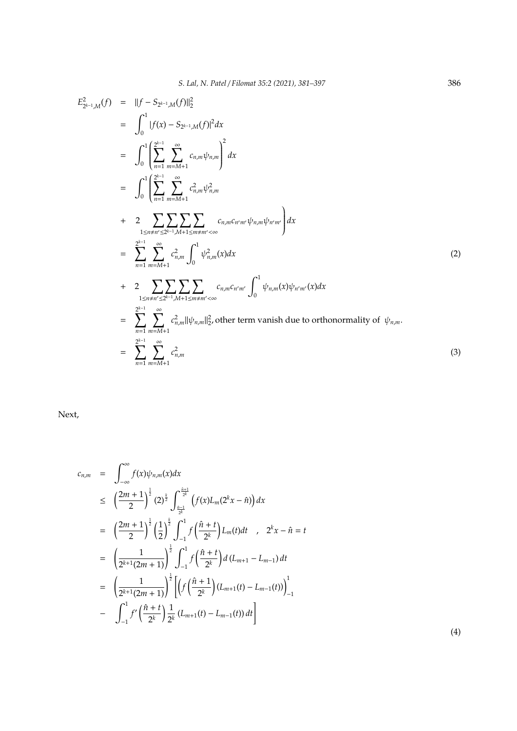$$
E_{2^{k-1},M}^{2}(f) = ||f - S_{2^{k-1},M}(f)||_{2}^{2}
$$
\n
$$
= \int_{0}^{1} |f(x) - S_{2^{k-1},M}(f)|^{2} dx
$$
\n
$$
= \int_{0}^{1} \left( \sum_{n=1}^{2^{k-1}} \sum_{m=M+1}^{\infty} c_{n,m} \psi_{n,m} \right)^{2} dx
$$
\n
$$
= \int_{0}^{1} \left( \sum_{n=1}^{2^{k-1}} \sum_{m=M+1}^{\infty} c_{n,m}^{2} \psi_{n,m}^{2} dx \right)
$$
\n
$$
+ 2 \sum_{1 \le n \ne n' \le 2^{k-1}, M+1 \le m \ne m' < \infty} c_{n,m} c_{n,m'} \psi_{n,m} \psi_{n'm'} dx
$$
\n
$$
= \sum_{n=1}^{2^{k-1}} \sum_{m=M+1}^{\infty} c_{n,m}^{2} \int_{0}^{1} \psi_{n,m}^{2} (x) dx \qquad (2)
$$
\n
$$
+ 2 \sum_{1 \le n \ne n' \le 2^{k-1}, M+1 \le m \ne m' < \infty} c_{n,m} c_{n'm'} \int_{0}^{1} \psi_{n,m} (x) \psi_{n'm'} (x) dx
$$
\n
$$
= \sum_{n=1}^{2^{k-1}} \sum_{m=M+1}^{\infty} c_{n,m}^{2} \int_{0}^{2} \psi_{n,m} (x) \psi_{n'm'} (x) dx
$$
\n
$$
= \sum_{n=1}^{2^{k-1}} \sum_{m=M+1}^{\infty} c_{n,m}^{2} \Big| c_{n,m}^{2}
$$
\n(3)

Next,

$$
c_{n,m} = \int_{-\infty}^{\infty} f(x)\psi_{n,m}(x)dx
$$
  
\n
$$
\leq \left(\frac{2m+1}{2}\right)^{\frac{1}{2}} (2)^{\frac{k}{2}} \int_{\frac{\hat{n}-1}{2k}}^{\frac{\hat{n}+1}{2k}} \left(f(x)L_m(2^kx-\hat{n})\right)dx
$$
  
\n
$$
= \left(\frac{2m+1}{2}\right)^{\frac{1}{2}} \left(\frac{1}{2}\right)^{\frac{k}{2}} \int_{-1}^{1} f\left(\frac{\hat{n}+t}{2^k}\right) L_m(t)dt \quad , \quad 2^kx - \hat{n} = t
$$
  
\n
$$
= \left(\frac{1}{2^{k+1}(2m+1)}\right)^{\frac{1}{2}} \int_{-1}^{1} f\left(\frac{\hat{n}+t}{2^k}\right) d\left(L_{m+1} - L_{m-1}\right)dt
$$
  
\n
$$
= \left(\frac{1}{2^{k+1}(2m+1)}\right)^{\frac{1}{2}} \left[\left(f\left(\frac{\hat{n}+1}{2^k}\right)(L_{m+1}(t) - L_{m-1}(t))\right)_{-1}^{1} - \int_{-1}^{1} f'\left(\frac{\hat{n}+t}{2^k}\right) \frac{1}{2^k} (L_{m+1}(t) - L_{m-1}(t)) dt\right]
$$

(4)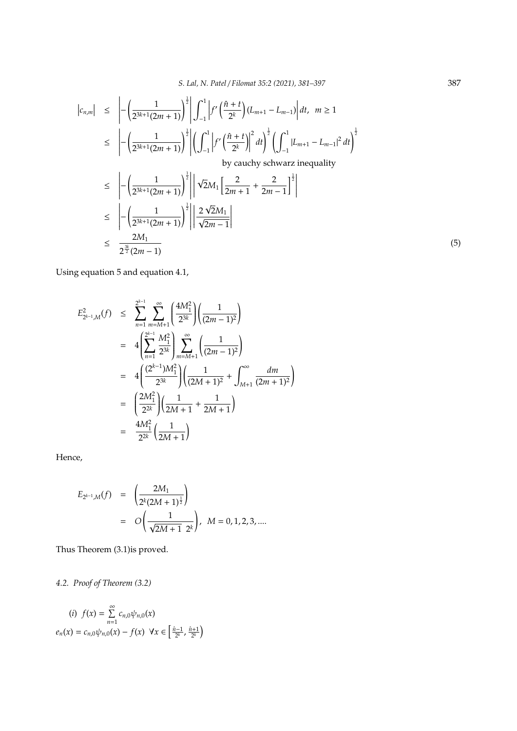$$
\begin{split}\n|c_{n,m}| &\leq \left| -\left(\frac{1}{2^{3k+1}(2m+1)}\right)^{\frac{1}{2}} \right| \int_{-1}^{1} \left| f'\left(\frac{\hat{n}+t}{2^k}\right) (L_{m+1} - L_{m-1}) \right| dt, \ m \geq 1 \\
&\leq \left| -\left(\frac{1}{2^{3k+1}(2m+1)}\right)^{\frac{1}{2}} \right| \left(\int_{-1}^{1} \left| f'\left(\frac{\hat{n}+t}{2^k}\right) \right|^2 dt\right)^{\frac{1}{2}} \left(\int_{-1}^{1} |L_{m+1} - L_{m-1}|^2 dt\right)^{\frac{1}{2}} \\
&\text{by cauchy sehwarz inequality} \\
&\leq \left| -\left(\frac{1}{2^{3k+1}(2m+1)}\right)^{\frac{1}{2}} \right| \left| \sqrt{2}M_1 \left[\frac{2}{2m+1} + \frac{2}{2m-1}\right]^{\frac{1}{2}} \right| \\
&\leq \left| -\left(\frac{1}{2^{3k+1}(2m+1)}\right)^{\frac{1}{2}} \right| \left| \frac{2\sqrt{2}M_1}{\sqrt{2m-1}} \right| \\
&\leq \frac{2M_1}{2^{\frac{3k}{2}}(2m-1)}\n\end{split} \tag{5}
$$

Using equation 5 and equation 4.1,

$$
E_{2^{k-1},M}^{2}(f) \leq \sum_{n=1}^{2^{k-1}} \sum_{m=M+1}^{\infty} \left( \frac{4M_{1}^{2}}{2^{3k}} \right) \left( \frac{1}{(2m-1)^{2}} \right)
$$
  
\n
$$
= 4 \left( \sum_{n=1}^{2^{k-1}} \frac{M_{1}^{2}}{2^{3k}} \right) \sum_{m=M+1}^{\infty} \left( \frac{1}{(2m-1)^{2}} \right)
$$
  
\n
$$
= 4 \left( \frac{(2^{k-1})M_{1}^{2}}{2^{3k}} \right) \left( \frac{1}{(2M+1)^{2}} + \int_{M+1}^{\infty} \frac{dm}{(2m+1)^{2}} \right)
$$
  
\n
$$
= \left( \frac{2M_{1}^{2}}{2^{2k}} \right) \left( \frac{1}{2M+1} + \frac{1}{2M+1} \right)
$$
  
\n
$$
= \frac{4M_{1}^{2}}{2^{2k}} \left( \frac{1}{2M+1} \right)
$$

Hence,

$$
E_{2^{k-1},M}(f) = \left(\frac{2M_1}{2^k(2M+1)^{\frac{1}{2}}}\right)
$$
  
=  $O\left(\frac{1}{\sqrt{2M+1} 2^k}\right), M = 0, 1, 2, 3, ...$ 

Thus Theorem (3.1)is proved.

*4.2. Proof of Theorem (3.2)*

$$
(i) \ f(x) = \sum_{n=1}^{\infty} c_{n,0} \psi_{n,0}(x)
$$

$$
e_n(x) = c_{n,0} \psi_{n,0}(x) - f(x) \ \forall x \in \left[\frac{\hat{n}-1}{2^k}, \frac{\hat{n}+1}{2^k}\right)
$$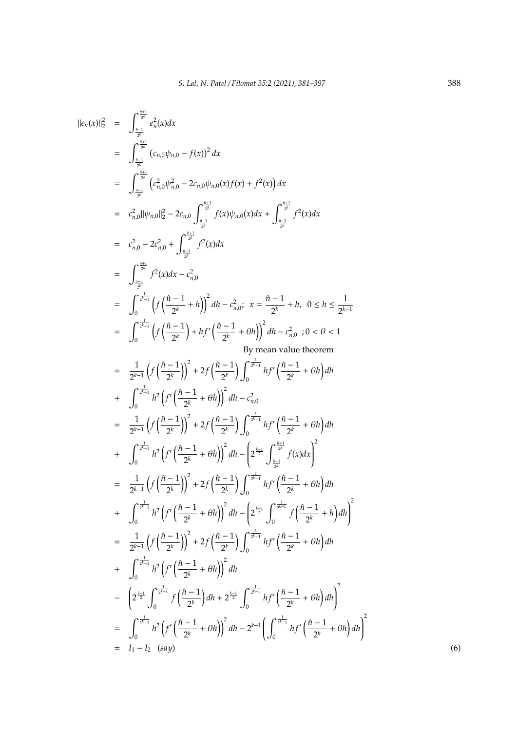$$
|\mathbf{e}_{0}(x)||_{2}^{2} = \int_{\frac{\pi}{2\pi}^{1/2}}^{\frac{\pi}{2\pi}^{1/2}} (\mathbf{c}_{n,0}\psi_{n,0} - f(x))^{2} dx
$$
\n
$$
= \int_{\frac{\pi}{2\pi}^{1/2}}^{\frac{\pi}{2\pi}^{1/2}} (\mathbf{c}_{n,0}^{2}\psi_{n,0}^{2} - 2\mathbf{c}_{n,0}\psi_{n,0}(x)f(x) + f^{2}(x)) dx
$$
\n
$$
= \mathbf{c}_{n,0}^{2}||\psi_{n,n}||_{2}^{2} - 2\mathbf{c}_{n,0} \int_{\frac{\pi - 1}{2}}^{\frac{\pi - 1}{2}} f(x)\psi_{n,0}(x) dx + \int_{\frac{\pi - 1}{2}}^{\frac{\pi - 1}{2}} f^{2}(x) dx
$$
\n
$$
= \mathbf{c}_{n,0}^{2} - 2\mathbf{c}_{n,0}^{2} + \int_{\frac{\pi - 1}{2}}^{\frac{\pi - 1}{2}} f^{2}(x) dx
$$
\n
$$
= \int_{\frac{\pi}{2}}^{\frac{\pi}{2}} f^{2}(x) dx - \mathbf{c}_{n,0}^{2}
$$
\n
$$
= \int_{0}^{\frac{\pi - 1}{2}} (f\left(\frac{\hbar - 1}{2^{k}} + h\right))^{2} dt - \mathbf{c}_{n,0}^{2}; \quad x = \frac{\hbar - 1}{2^{k}} + h, \quad 0 \leq h \leq \frac{1}{2^{k-1}}
$$
\n
$$
= \int_{0}^{\frac{\pi}{2} - 1} (f\left(\frac{\hbar - 1}{2^{k}}\right) + hf'\left(\frac{\hbar - 1}{2^{k}} + \theta h\right))^{2} dt - \mathbf{c}_{n,0}^{2}; \quad 0 < \theta < 1
$$
\n
$$
= \frac{1}{2^{k-1}} \left(f\left(\frac{\hbar - 1}{2^{k}}\right)\right)^{2} + 2f\left(\frac{\hbar - 1}{2^{k}}\right) \int_{0}^{\frac{\pi}{2}} h^{2}f'\left(\frac{\hbar - 1}{2^{k}} + \theta h\right) dt
$$
\n
$$
+ \int_{0}^{\frac{\pi}{2} - 1} h^{
$$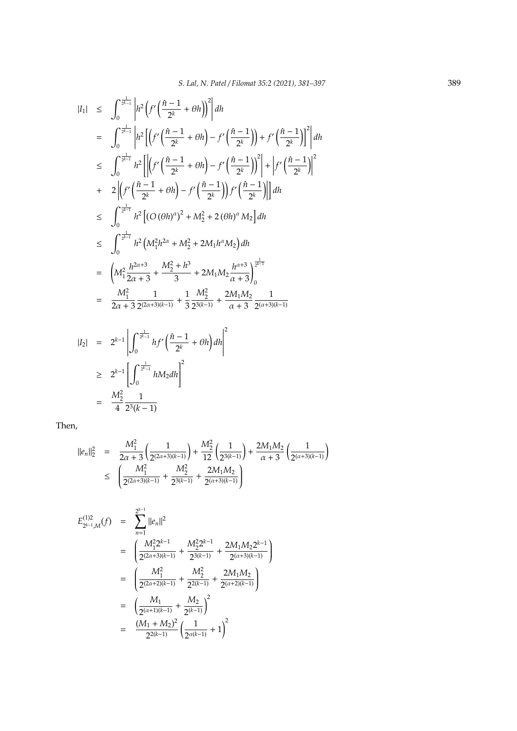$$
|I_{1}| \leq \int_{0}^{\frac{1}{2^{k}-1}} \left| h^{2} \left( f' \left( \frac{\hat{n}-1}{2^{k}} + \theta h \right) \right)^{2} \right| dh
$$
  
\n
$$
= \int_{0}^{\frac{1}{2^{k}-1}} \left| h^{2} \left[ \left( f' \left( \frac{\hat{n}-1}{2^{k}} + \theta h \right) - f' \left( \frac{\hat{n}-1}{2^{k}} \right) \right) + f' \left( \frac{\hat{n}-1}{2^{k}} \right) \right]^{2} \right| dh
$$
  
\n
$$
\leq \int_{0}^{\frac{1}{2^{k}-1}} h^{2} \left[ \left| \left( f' \left( \frac{\hat{n}-1}{2^{k}} + \theta h \right) - f' \left( \frac{\hat{n}-1}{2^{k}} \right) \right)^{2} \right| + \left| f' \left( \frac{\hat{n}-1}{2^{k}} \right) \right|^{2} dt
$$
  
\n
$$
+ 2 \left| \left( f' \left( \frac{\hat{n}-1}{2^{k}} + \theta h \right) - f' \left( \frac{\hat{n}-1}{2^{k}} \right) \right) f' \left( \frac{\hat{n}-1}{2^{k}} \right) \right| \right] dh
$$
  
\n
$$
\leq \int_{0}^{\frac{1}{2^{k}-1}} h^{2} \left[ (O(\theta h)^{\alpha})^{2} + M_{2}^{2} + 2(\theta h)^{\alpha} M_{2} \right] dh
$$
  
\n
$$
\leq \int_{0}^{\frac{1}{2^{k}-1}} h^{2} \left( M_{1}^{2} h^{2\alpha} + M_{2}^{2} + 2M_{1} h^{\alpha} M_{2} \right) dh
$$
  
\n
$$
= \left( M_{1}^{2} \frac{h^{2\alpha+3}}{2\alpha+3} + \frac{M_{2}^{2} + h^{3}}{3} + 2M_{1} M_{2} \frac{h^{\alpha+3}}{\alpha+3} \right)_{0}^{\frac{1}{2^{k}-1}}
$$
  
\n
$$
= \frac{M_{1}^{2}}{2\alpha+3} \frac{1}{2^{(2\alpha+3)(k-1)}} + \frac{1}{3} \frac{M_{2}^{2}}{2^{3(k-1)}} + \frac{2M_{1} M_{
$$

$$
|I_2| = 2^{k-1} \left| \int_0^{\frac{1}{2^{k-1}}} hf' \left( \frac{\hat{n} - 1}{2^k} + \theta h \right) dh \right|^2
$$
  
\n
$$
\geq 2^{k-1} \left[ \int_0^{\frac{1}{2^{k-1}}} h M_2 dh \right]^2
$$
  
\n
$$
= \frac{M_2^2}{4} \frac{1}{2^3(k-1)}
$$

Then,

$$
\begin{array}{lcl} ||e_n||_2^2&=& \displaystyle \frac{M_1^2}{2\alpha+3}\left(\frac{1}{2^{(2\alpha+3)(k-1)}}\right)+\frac{M_2^2}{12}\left(\frac{1}{2^{3(k-1)}}\right)+\frac{2M_1M_2}{\alpha+3}\left(\frac{1}{2^{(\alpha+3)(k-1)}}\right)\\&\leq& \displaystyle \left(\frac{M_1^2}{2^{(2\alpha+3)(k-1)}}+\frac{M_2^2}{2^{3(k-1)}}+\frac{2M_1M_2}{2^{(\alpha+3)(k-1)}}\right) \end{array}
$$

$$
E_{2^{k-1},M}^{(1)2}(f) = \sum_{n=1}^{2^{k-1}} ||e_n||^2
$$
  
=  $\left(\frac{M_1^2 2^{k-1}}{2^{(2\alpha+3)(k-1)}} + \frac{M_2^2 2^{k-1}}{2^{3(k-1)}} + \frac{2M_1 M_2 2^{k-1}}{2^{(\alpha+3)(k-1)}}\right)$   
=  $\left(\frac{M_1^2}{2^{(2\alpha+2)(k-1)}} + \frac{M_2^2}{2^{2(k-1)}} + \frac{2M_1 M_2}{2^{(\alpha+2)(k-1)}}\right)$   
=  $\left(\frac{M_1}{2^{(\alpha+1)(k-1)}} + \frac{M_2}{2^{(k-1)}}\right)^2$   
=  $\frac{(M_1 + M_2)^2}{2^{2(k-1)}} \left(\frac{1}{2^{\alpha(k-1)}} + 1\right)^2$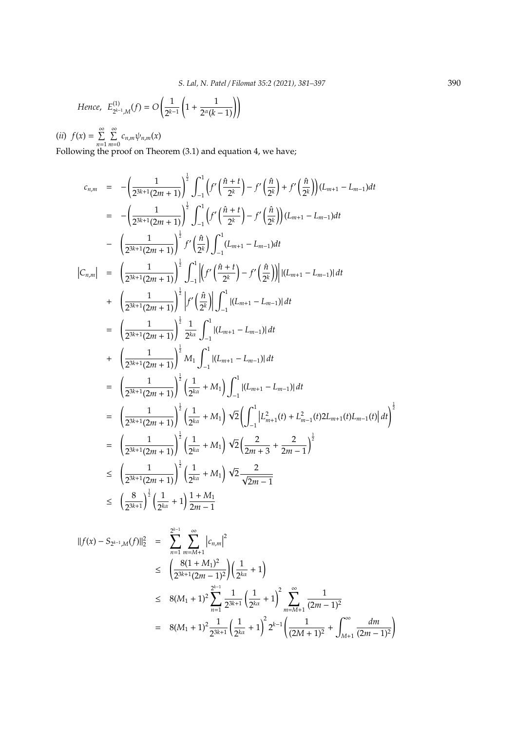Hence, 
$$
E_{2^{k-1},M}^{(1)}(f) = O\left(\frac{1}{2^{k-1}}\left(1 + \frac{1}{2^{\alpha}(k-1)}\right)\right)
$$

(*ii*)  $f(x) = \sum^{\infty}$ *n*=1  $\sum^{\infty}$  $\sum_{m=0} c_{n,m} \psi_{n,m}(x)$ 

Following the proof on Theorem (3.1) and equation 4, we have;

$$
c_{n,m} = -\left(\frac{1}{2^{3k+1}(2m+1)}\right)^{\frac{1}{2}} \int_{-1}^{1} \left(f'\left(\frac{\hat{n}+t}{2^{k}}\right) - f'\left(\frac{\hat{n}}{2^{k}}\right) + f'\left(\frac{\hat{n}}{2^{k}}\right)\right) (L_{m+1} - L_{m-1}) dt
$$
\n
$$
= -\left(\frac{1}{2^{3k+1}(2m+1)}\right)^{\frac{1}{2}} \int_{-1}^{1} \left(f'\left(\frac{\hat{n}+t}{2^{k}}\right) - f'\left(\frac{\hat{n}}{2^{k}}\right)\right) (L_{m+1} - L_{m-1}) dt
$$
\n
$$
- \left(\frac{1}{2^{3k+1}(2m+1)}\right)^{\frac{1}{2}} f'\left(\frac{\hat{n}}{2^{k}}\right) \int_{-1}^{1} (L_{m+1} - L_{m-1}) dt
$$
\n
$$
|C_{n,m}| = \left(\frac{1}{2^{3k+1}(2m+1)}\right)^{\frac{1}{2}} \int_{-1}^{1} \left|\left(f'\left(\frac{\hat{n}+t}{2^{k}}\right) - f'\left(\frac{\hat{n}}{2^{k}}\right)\right)\right| (L_{m+1} - L_{m-1})| dt
$$
\n
$$
+ \left(\frac{1}{2^{3k+1}(2m+1)}\right)^{\frac{1}{2}} \left|f'\left(\frac{\hat{n}}{2^{k}}\right)\right| \int_{-1}^{1} |(L_{m+1} - L_{m-1})| dt
$$
\n
$$
= \left(\frac{1}{2^{3k+1}(2m+1)}\right)^{\frac{1}{2}} \frac{1}{2^{k\alpha}} \int_{-1}^{1} |(L_{m+1} - L_{m-1})| dt
$$
\n
$$
+ \left(\frac{1}{2^{3k+1}(2m+1)}\right)^{\frac{1}{2}} M_1 \int_{-1}^{1} |(L_{m+1} - L_{m-1})| dt
$$
\n
$$
= \left(\frac{1}{2^{3k+1}(2m+1)}\right)^{\frac{1}{2}} \left(\frac{1}{2^{k\alpha}} + M_1\right) \int_{-1}^{1} |(L_{m+1} - L_{m-1})| dt
$$
\n
$$
= \left(\frac{1
$$

$$
\begin{split} ||f(x) - S_{2^{k-1},M}(f)||_{2}^{2} &= \sum_{n=1}^{2^{k-1}} \sum_{m=M+1}^{\infty} \left| c_{n,m} \right|^{2} \\ &\leq \left( \frac{8(1+M_{1})^{2}}{2^{3k+1}(2m-1)^{2}} \right) \left( \frac{1}{2^{k\alpha}} + 1 \right) \\ &\leq 8(M_{1}+1)^{2} \sum_{n=1}^{2^{k-1}} \frac{1}{2^{3k+1}} \left( \frac{1}{2^{k\alpha}} + 1 \right)^{2} \sum_{m=M+1}^{\infty} \frac{1}{(2m-1)^{2}} \\ &= 8(M_{1}+1)^{2} \frac{1}{2^{3k+1}} \left( \frac{1}{2^{k\alpha}} + 1 \right)^{2} 2^{k-1} \left( \frac{1}{(2M+1)^{2}} + \int_{M+1}^{\infty} \frac{dm}{(2m-1)^{2}} \right) \end{split}
$$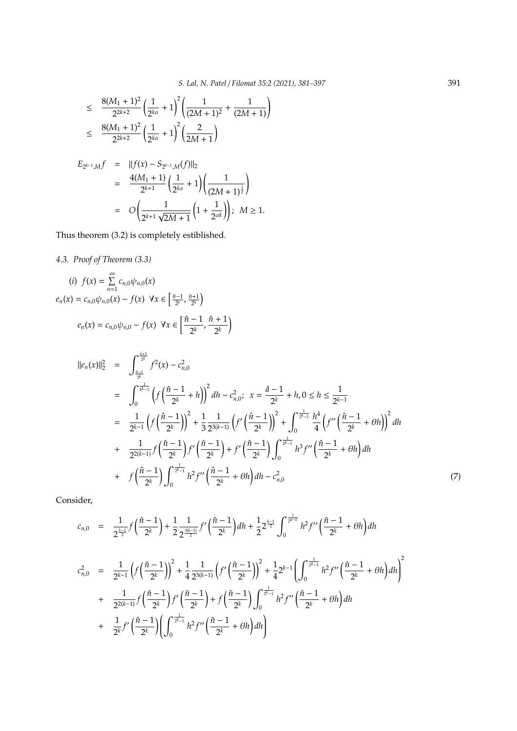$$
\leq \frac{8(M_1+1)^2}{2^{2k+2}} \left(\frac{1}{2^{k\alpha}}+1\right)^2 \left(\frac{1}{(2M+1)^2}+\frac{1}{(2M+1)}\right)
$$
  

$$
\leq \frac{8(M_1+1)^2}{2^{2k+2}} \left(\frac{1}{2^{k\alpha}}+1\right)^2 \left(\frac{2}{2M+1}\right)
$$

$$
E_{2^{k-1},M}f = ||f(x) - S_{2^{k-1},M}(f)||_2
$$
  
= 
$$
\frac{4(M_1 + 1)}{2^{k+1}} \left(\frac{1}{2^{k\alpha}} + 1\right) \left(\frac{1}{(2M+1)^{\frac{1}{2}}}\right)
$$
  
= 
$$
O\left(\frac{1}{2^{k+1}\sqrt{2M+1}}\left(1 + \frac{1}{2^{\alpha k}}\right)\right); \quad M \ge 1.
$$

Thus theorem (3.2) is completely estiblished.

*4.3. Proof of Theorem (3.3)*

$$
(i) \ f(x) = \sum_{n=1}^{\infty} c_{n,0} \psi_{n,0}(x)
$$

$$
e_n(x) = c_{n,0} \psi_{n,0}(x) - f(x) \ \forall x \in \left[\frac{\hat{n}-1}{2^k}, \frac{\hat{n}+1}{2^k}\right)
$$

$$
e_n(x) = c_{n,0} \psi_{n,0} - f(x) \ \forall x \in \left[\frac{\hat{n}-1}{2^k}, \frac{\hat{n}+1}{2^k}\right)
$$

$$
||e_{n}(x)||_{2}^{2} = \int_{\frac{\hat{n}-1}{2^{k}}}^{\frac{\hat{n}+1}{2^{k}}} f^{2}(x) - c_{n,0}^{2}
$$
  
\n
$$
= \int_{0}^{\frac{1}{2^{k}-1}} \left(f\left(\frac{\hat{n}-1}{2^{k}} + h\right)\right)^{2} dh - c_{n,0}^{2}; \ x = \frac{\hat{n}-1}{2^{k}} + h, 0 \leq h \leq \frac{1}{2^{k-1}}
$$
  
\n
$$
= \frac{1}{2^{k-1}} \left(f\left(\frac{\hat{n}-1}{2^{k}}\right)\right)^{2} + \frac{1}{3} \frac{1}{2^{3(k-1)}} \left(f'\left(\frac{\hat{n}-1}{2^{k}}\right)\right)^{2} + \int_{0}^{\frac{1}{2^{k-1}}} \frac{h^{4}}{4} \left(f''\left(\frac{\hat{n}-1}{2^{k}} + \theta h\right)\right)^{2} dh
$$
  
\n
$$
+ \frac{1}{2^{2(k-1)}} f\left(\frac{\hat{n}-1}{2^{k}}\right) f'\left(\frac{\hat{n}-1}{2^{k}}\right) + f'\left(\frac{\hat{n}-1}{2^{k}}\right) \int_{0}^{\frac{1}{2^{k-1}}} h^{3} f''\left(\frac{\hat{n}-1}{2^{k}} + \theta h\right) dh
$$
  
\n
$$
+ f\left(\frac{\hat{n}-1}{2^{k}}\right) \int_{0}^{\frac{1}{2^{k-1}}} h^{2} f''\left(\frac{\hat{n}-1}{2^{k}} + \theta h\right) dh - c_{n,0}^{2}
$$
  
\n(7)

Consider,

$$
c_{n,0} = \frac{1}{2^{\frac{k-1}{2}}} f\left(\frac{\hat{n}-1}{2^k}\right) + \frac{1}{2} \frac{1}{2^{\frac{3(k-1)}{2}}} f'\left(\frac{\hat{n}-1}{2^k}\right) dh + \frac{1}{2} 2^{\frac{k-1}{2}} \int_0^{\frac{1}{2^{k-1}}} h^2 f''\left(\frac{\hat{n}-1}{2^k} + \theta h\right) dh
$$
  

$$
c_{n,0}^2 = \frac{1}{2^{k-1}} \left( f\left(\frac{\hat{n}-1}{2^k}\right) \right)^2 + \frac{1}{4} \frac{1}{2^{3(k-1)}} \left( f'\left(\frac{\hat{n}-1}{2^k}\right) \right)^2 + \frac{1}{4} 2^{k-1} \left( \int_0^{\frac{1}{2^{k-1}}} h^2 f''\left(\frac{\hat{n}-1}{2^k} + \theta h\right) dh \right)^2
$$
  

$$
+ \frac{1}{2^{2(k-1)}} f\left(\frac{\hat{n}-1}{2^k}\right) f'\left(\frac{\hat{n}-1}{2^k}\right) + f\left(\frac{\hat{n}-1}{2^k}\right) \int_0^{\frac{1}{2^{k-1}}} h^2 f''\left(\frac{\hat{n}-1}{2^k} + \theta h\right) dh
$$
  

$$
+ \frac{1}{2^k} f'\left(\frac{\hat{n}-1}{2^k}\right) \left( \int_0^{\frac{1}{2^{k-1}}} h^2 f''\left(\frac{\hat{n}-1}{2^k} + \theta h\right) dh \right)
$$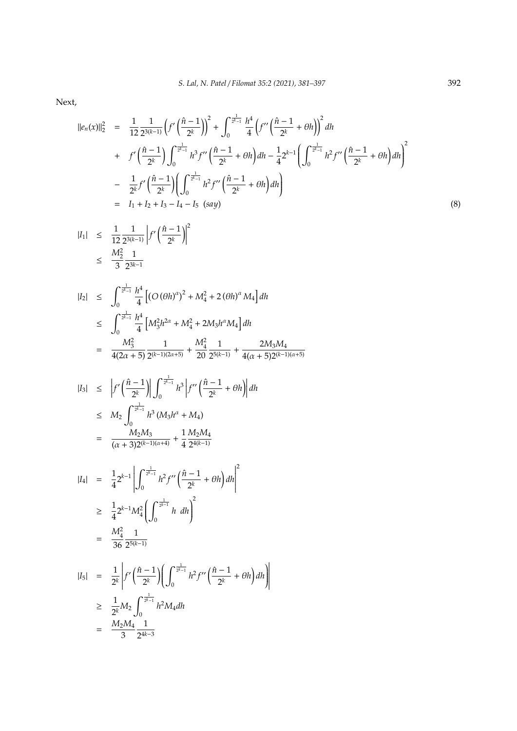Next,

$$
\begin{split}\n||e_n(x)||_2^2 &= \frac{1}{12} \frac{1}{2^{3(k-1)}} \left( f' \left( \frac{\hat{n}-1}{2^k} \right) \right)^2 + \int_0^{\frac{1}{2^k-1}} \frac{h^4}{4} \left( f'' \left( \frac{\hat{n}-1}{2^k} + \theta h \right) \right)^2 dh \\
&+ \quad f' \left( \frac{\hat{n}-1}{2^k} \right) \int_0^{\frac{1}{2^k-1}} h^3 f'' \left( \frac{\hat{n}-1}{2^k} + \theta h \right) dh - \frac{1}{4} 2^{k-1} \left( \int_0^{\frac{1}{2^k-1}} h^2 f'' \left( \frac{\hat{n}-1}{2^k} + \theta h \right) dh \right)^2 \\
&- \quad \frac{1}{2^k} f' \left( \frac{\hat{n}-1}{2^k} \right) \left( \int_0^{\frac{1}{2^k-1}} h^2 f'' \left( \frac{\hat{n}-1}{2^k} + \theta h \right) dh \right) \\
&= \quad I_1 + I_2 + I_3 - I_4 - I_5 \quad (say)\n\end{split} \tag{8}
$$

$$
|I_1| \leq \frac{1}{12} \frac{1}{2^{3(k-1)}} \left| f' \left( \frac{\hat{n} - 1}{2^k} \right) \right|^2
$$
  
 
$$
\leq \frac{M_2^2}{3} \frac{1}{2^{3k-1}}
$$

$$
|I_2| \leq \int_0^{\frac{1}{2^{k-1}}} \frac{h^4}{4} \left[ (O(\theta h)^{\alpha})^2 + M_4^2 + 2(\theta h)^{\alpha} M_4 \right] dh
$$
  
\n
$$
\leq \int_0^{\frac{1}{2^{k-1}}} \frac{h^4}{4} \left[ M_3^2 h^{2\alpha} + M_4^2 + 2M_3 h^{\alpha} M_4 \right] dh
$$
  
\n
$$
= \frac{M_3^2}{4(2\alpha + 5)} \frac{1}{2^{(k-1)(2\alpha + 5)}} + \frac{M_4^2}{20} \frac{1}{2^{5(k-1)}} + \frac{2M_3 M_4}{4(\alpha + 5)2^{(k-1)(\alpha + 5)}}
$$

$$
|I_3| \leq |f'(\frac{\hat{n}-1}{2^k})| \int_0^{\frac{1}{2^k-1}} h^3 |f''(\frac{\hat{n}-1}{2^k} + \theta h) | dh
$$
  
\n
$$
\leq M_2 \int_0^{\frac{1}{2^k-1}} h^3 (M_3 h^{\alpha} + M_4)
$$
  
\n
$$
= \frac{M_2 M_3}{(\alpha+3)2^{(k-1)(\alpha+4)}} + \frac{1}{4} \frac{M_2 M_4}{2^{4(k-1)}}
$$

$$
|I_4| = \frac{1}{4} 2^{k-1} \left| \int_0^{\frac{1}{2^{k-1}}} h^2 f''\left(\frac{\hat{n}-1}{2^k} + \theta h\right) dh \right|^2
$$
  
\n
$$
\geq \frac{1}{4} 2^{k-1} M_4^2 \left( \int_0^{\frac{1}{2^{k-1}}} h \ dh \right)^2
$$
  
\n
$$
= \frac{M_4^2}{36} \frac{1}{2^{5(k-1)}}
$$

$$
|I_5| = \frac{1}{2^k} \left| f' \left( \frac{\hat{n} - 1}{2^k} \right) \left( \int_0^{\frac{1}{2^k - 1}} h^2 f'' \left( \frac{\hat{n} - 1}{2^k} + \theta h \right) dh \right) \right|
$$
  
\n
$$
\geq \frac{1}{2^k} M_2 \int_0^{\frac{1}{2^k - 1}} h^2 M_4 dh
$$
  
\n
$$
= \frac{M_2 M_4}{3} \frac{1}{2^{4k - 3}}
$$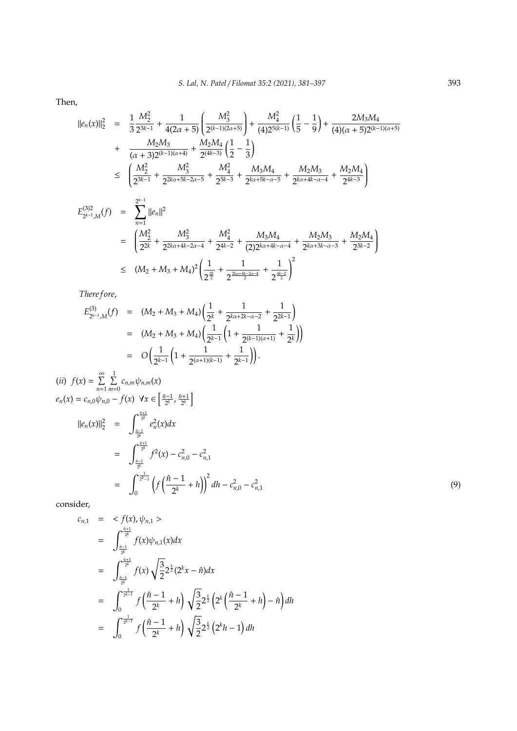Then,

$$
\begin{array}{rcl}\n||e_n(x)||_2^2 &=& \frac{1}{3} \frac{M_2^2}{2^{3k-1}} + \frac{1}{4(2\alpha+5)} \left( \frac{M_3^2}{2^{(k-1)(2\alpha+5)}} \right) + \frac{M_4^2}{(4)2^{5(k-1)}} \left( \frac{1}{5} - \frac{1}{9} \right) + \frac{2M_3M_4}{(4)(\alpha+5)2^{(k-1)(\alpha+5)}} \\
+ & & \frac{M_2M_3}{(\alpha+3)2^{(k-1)(\alpha+4)}} + \frac{M_2M_4}{2^{(4k-3)}} \left( \frac{1}{2} - \frac{1}{3} \right) \\
& & \leq \left( \frac{M_2^2}{2^{3k-1}} + \frac{M_3^2}{2^{2k\alpha+5k-2\alpha-5}} + \frac{M_4^2}{2^{5k-3}} + \frac{M_3M_4}{2^{k\alpha+5k-\alpha-5}} + \frac{M_2M_3}{2^{k\alpha+4k-\alpha-4}} + \frac{M_2M_4}{2^{4k-3}} \right) \\
&= \frac{2^{k-1}}{2^{2k-1}} \left( |e_n|^2 \right) \\
= & \left( \frac{M_2^2}{2^{2k}} + \frac{M_3^2}{2^{2k\alpha+4k-2\alpha-4}} + \frac{M_4^2}{2^{4k-2}} + \frac{M_3M_4}{(2)2^{k\alpha+4k-\alpha-4}} + \frac{M_2M_3}{2^{k\alpha+3k-\alpha-3}} + \frac{M_2M_4}{2^{3k-2}} \right) \\
& & \leq (M_2 + M_3 + M_4)^2 \left( \frac{1}{2^{\frac{2k}{2}}} + \frac{1}{2^{\frac{2k\alpha+4k-2\alpha-4}{2}}} + \frac{1}{2^{\frac{4k-2}{2}}} \right)^2\n\end{array}
$$

*There f ore*,

$$
E_{2^{k-1},M}^{(3)}(f) = (M_2 + M_3 + M_4) \left( \frac{1}{2^k} + \frac{1}{2^{k\alpha + 2k - \alpha - 2}} + \frac{1}{2^{2k - 1}} \right)
$$
  
=  $(M_2 + M_3 + M_4) \left( \frac{1}{2^{k-1}} \left( 1 + \frac{1}{2^{(k-1)(\alpha+1)}} + \frac{1}{2^k} \right) \right)$   
=  $O \left( \frac{1}{2^{k-1}} \left( 1 + \frac{1}{2^{(\alpha+1)(k-1)}} + \frac{1}{2^{k-1}} \right) \right).$ 

(ii) 
$$
f(x) = \sum_{n=1}^{\infty} \sum_{m=0}^{1} c_{n,m} \psi_{n,m}(x)
$$
  
\n
$$
e_n(x) = c_{n,0} \psi_{n,0} - f(x) \quad \forall x \in \left[\frac{\hat{n}-1}{2^k}, \frac{\hat{n}+1}{2^k}\right]
$$
\n
$$
||e_n(x)||_2^2 = \int_{\frac{\hat{n}-1}{2^k}}^{\frac{\hat{n}+1}{2^k}} e_n^2(x) dx
$$
\n
$$
= \int_{\frac{\hat{n}-1}{2^k}}^{\frac{\hat{n}+1}{2^k}} f^2(x) - c_{n,0}^2 - c_{n,1}^2
$$
\n
$$
= \int_0^{\frac{\hat{n}-1}{2^k}} \left(f\left(\frac{\hat{n}-1}{2^k} + h\right)\right)^2 dh - c_{n,0}^2 - c_{n,1}^2
$$
\n(9)

2<sup><sup>4*k*−2</sup></sup>

consider,

$$
c_{n,1} = \langle f(x), \psi_{n,1} \rangle
$$
  
\n
$$
= \int_{\frac{\hat{n}-1}{2^k}}^{\frac{\hat{n}+1}{2^k}} f(x) \psi_{n,1}(x) dx
$$
  
\n
$$
= \int_{\frac{\hat{n}-1}{2^k}}^{\frac{\hat{n}+1}{2^k}} f(x) \sqrt{\frac{3}{2}} 2^{\frac{k}{2}} (2^k x - \hat{n}) dx
$$
  
\n
$$
= \int_{0}^{\frac{1}{2^{k-1}}} f(\frac{\hat{n}-1}{2^k} + h) \sqrt{\frac{3}{2}} 2^{\frac{k}{2}} (2^k (\frac{\hat{n}-1}{2^k} + h) - \hat{n}) dh
$$
  
\n
$$
= \int_{0}^{\frac{1}{2^{k-1}}} f(\frac{\hat{n}-1}{2^k} + h) \sqrt{\frac{3}{2}} 2^{\frac{k}{2}} (2^k h - 1) dh
$$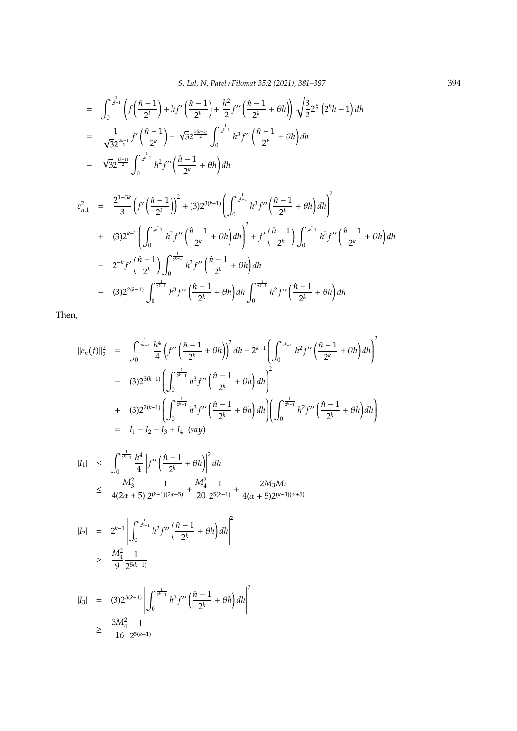$$
= \int_0^{\frac{1}{2^{k-1}}} \left( f\left(\frac{\hat{n}-1}{2^k}\right) + hf'\left(\frac{\hat{n}-1}{2^k}\right) + \frac{h^2}{2}f''\left(\frac{\hat{n}-1}{2^k} + \theta h\right) \right) \sqrt{\frac{3}{2}} 2^{\frac{k}{2}} \left(2^k h - 1\right) dh
$$
  

$$
= \frac{1}{\sqrt{3}2^{\frac{3k-1}{2}}} f'\left(\frac{\hat{n}-1}{2^k}\right) + \sqrt{3}2^{\frac{3(k-1)}{2}} \int_0^{\frac{1}{2^{k-1}}} h^3 f''\left(\frac{\hat{n}-1}{2^k} + \theta h\right) dh
$$
  

$$
- \sqrt{3}2^{\frac{(k-1)}{2}} \int_0^{\frac{1}{2^{k-1}}} h^2 f''\left(\frac{\hat{n}-1}{2^k} + \theta h\right) dh
$$

$$
c_{n,1}^{2} = \frac{2^{1-3k}}{3} \left(f'\left(\frac{\hat{n}-1}{2^{k}}\right)\right)^{2} + (3)2^{3(k-1)} \left(\int_{0}^{\frac{1}{2^{k-1}}} h^{3} f''\left(\frac{\hat{n}-1}{2^{k}} + \theta h\right) dh\right)^{2} + (3)2^{k-1} \left(\int_{0}^{\frac{1}{2^{k-1}}} h^{2} f''\left(\frac{\hat{n}-1}{2^{k}} + \theta h\right) dh\right)^{2} + f'\left(\frac{\hat{n}-1}{2^{k}}\right) \int_{0}^{\frac{1}{2^{k-1}}} h^{3} f''\left(\frac{\hat{n}-1}{2^{k}} + \theta h\right) dh - 2^{-k} f'\left(\frac{\hat{n}-1}{2^{k}}\right) \int_{0}^{\frac{1}{2^{k-1}}} h^{2} f''\left(\frac{\hat{n}-1}{2^{k}} + \theta h\right) dh - (3)2^{2(k-1)} \int_{0}^{\frac{1}{2^{k-1}}} h^{3} f''\left(\frac{\hat{n}-1}{2^{k}} + \theta h\right) dh \int_{0}^{\frac{1}{2^{k-1}}} h^{2} f''\left(\frac{\hat{n}-1}{2^{k}} + \theta h\right) dh
$$

Then,

$$
\begin{split}\n\|\boldsymbol{e}_{n}(f)\|_{2}^{2} &= \int_{0}^{\frac{1}{2^{k-1}}} \frac{h^{4}}{4} \left( f''\left(\frac{\hat{n}-1}{2^{k}} + \theta h\right) \right)^{2} dh - 2^{k-1} \left( \int_{0}^{\frac{1}{2^{k-1}}} h^{2} f''\left(\frac{\hat{n}-1}{2^{k}} + \theta h\right) dh \right)^{2} \\
&- (3) 2^{3(k-1)} \left( \int_{0}^{\frac{1}{2^{k-1}}} h^{3} f''\left(\frac{\hat{n}-1}{2^{k}} + \theta h\right) dh \right)^{2} \\
&+ (3) 2^{2(k-1)} \left( \int_{0}^{\frac{1}{2^{k-1}}} h^{3} f''\left(\frac{\hat{n}-1}{2^{k}} + \theta h\right) dh \right) \left( \int_{0}^{\frac{1}{2^{k-1}}} h^{2} f''\left(\frac{\hat{n}-1}{2^{k}} + \theta h\right) dh \right) \\
&= I_{1} - I_{2} - I_{3} + I_{4} \text{ (say)}\n\end{split}
$$

$$
|I_{1}| \leq \int_{0}^{\frac{1}{2^{k}-1}} \frac{h^{4}}{4} \left| f''\left(\frac{\hat{n}-1}{2^{k}} + \theta h \right) \right|^{2} dh
$$
  
\n
$$
\leq \frac{M_{3}^{2}}{4(2\alpha+5)} \frac{1}{2^{(k-1)(2\alpha+5)}} + \frac{M_{4}^{2}}{20} \frac{1}{2^{5(k-1)}} + \frac{2M_{3}M_{4}}{4(\alpha+5)2^{(k-1)(\alpha+5)}}
$$
  
\n
$$
|I_{2}| = 2^{k-1} \left| \int_{0}^{\frac{1}{2^{k}-1}} h^{2} f''\left(\frac{\hat{n}-1}{2^{k}} + \theta h \right) dh \right|^{2}
$$
  
\n
$$
\geq \frac{M_{4}^{2}}{9} \frac{1}{2^{5(k-1)}}
$$

$$
|I_3| = (3)2^{3(k-1)} \left| \int_0^{\frac{1}{2^k-1}} h^3 f''\left(\frac{\hat{n}-1}{2^k} + \theta h\right) dh \right|
$$
  
 
$$
\geq \frac{3M_4^2}{16} \frac{1}{2^{5(k-1)}}
$$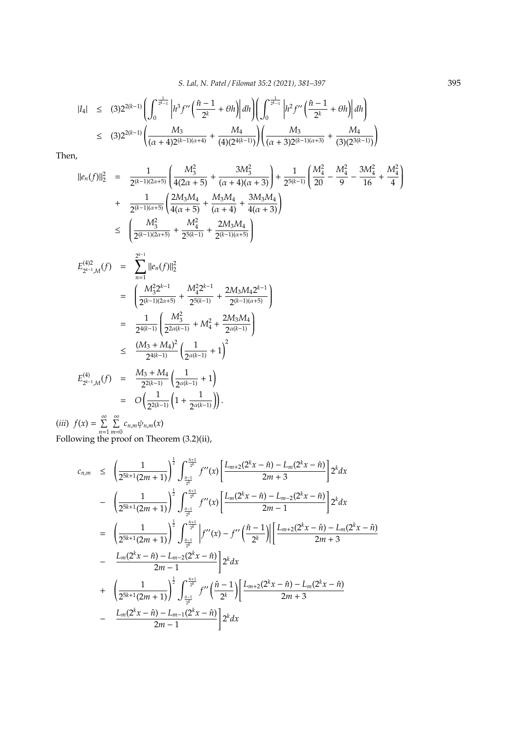$$
\begin{array}{lcl} |I_4| & \leq & (3)2^{2(k-1)} \left( \displaystyle \int_0^{\frac{1}{2^{k-1}}} \left| h^3 f^{\prime\prime} \left( \frac{ \hat{n}-1}{2^k} + \theta h \right) \right| dh \right) \left( \displaystyle \int_0^{\frac{1}{2^{k-1}}} \left| h^2 f^{\prime\prime} \left( \frac{ \hat{n}-1}{2^k} + \theta h \right) \right| dh \right) \\ & \leq & (3)2^{2(k-1)} \left( \displaystyle \frac{ M_3 }{(\alpha+4)2^{(k-1)(\alpha+4)}} + \displaystyle \frac{ M_4 }{(4)(2^{4(k-1)})} \right) \left( \displaystyle \frac{ M_3 }{(\alpha+3)2^{(k-1)(\alpha+3)}} + \displaystyle \frac{ M_4 }{(3)(2^{3(k-1)})} \right) \end{array}
$$

Then,

$$
||e_n(f)||_2^2 = \frac{1}{2^{(k-1)(2\alpha+5)}} \left( \frac{M_3^2}{4(2\alpha+5)} + \frac{3M_3^2}{(\alpha+4)(\alpha+3)} \right) + \frac{1}{2^{5(k-1)}} \left( \frac{M_4^2}{20} - \frac{M_4^2}{9} - \frac{3M_4^2}{16} + \frac{M_4^2}{4} \right)
$$
  
+ 
$$
\frac{1}{2^{(k-1)(\alpha+5)}} \left( \frac{2M_3M_4}{4(\alpha+5)} + \frac{M_3M_4}{(\alpha+4)} + \frac{3M_3M_4}{4(\alpha+3)} \right)
$$
  

$$
\leq \left( \frac{M_3^2}{2^{(k-1)(2\alpha+5)}} + \frac{M_4^2}{2^{5(k-1)}} + \frac{2M_3M_4}{2^{(k-1)(\alpha+5)}} \right)
$$
  

$$
E_{2^{k-1},M}^{(4)}(f) = \sum_{n=1}^{2^{k-1}} ||e_n(f)||_2^2
$$
  
= 
$$
\left( \frac{M_3^2 2^{k-1}}{2^{(k-1)(2\alpha+5)}} + \frac{M_4^2 2^{k-1}}{2^{5(k-1)}} + \frac{2M_3M_4 2^{k-1}}{2^{(k-1)(\alpha+5)}} \right)
$$
  
= 
$$
\frac{1}{2^{4(k-1)}} \left( \frac{M_3^2}{2^{2\alpha(k-1)}} + M_4^2 + \frac{2M_3M_4}{2^{\alpha(k-1)}} \right)
$$
  

$$
\leq \frac{(M_3 + M_4)^2}{2^{4(k-1)}} \left( \frac{1}{2^{\alpha(k-1)}} + 1 \right)^2
$$
  

$$
E_{2^{k-1},M}^{(4)}(f) = \frac{M_3 + M_4}{2^{2(k-1)}} \left( \frac{1}{2^{\alpha(k-1)}} + 1 \right)
$$
  
= 
$$
O\left( \frac{1}{2^{2(k-1)}} \left( 1 + \frac{1}{2^{\alpha(k-1)}} \right) \right).
$$

(*iii*)  $f(x) = \sum^{\infty}$ *n*=1  $\sum^{\infty}$  $\sum_{m=0} c_{n,m} \psi_{n,m}(x)$ Following the proof on Theorem (3.2)(ii),

$$
c_{n,m} \leq \left(\frac{1}{2^{5k+1}(2m+1)}\right)^{\frac{1}{2}} \int_{\frac{\hat{n}-1}{2^k}}^{\frac{\hat{n}+1}{2^k}} f''(x) \left[\frac{L_{m+2}(2^k x - \hat{n}) - L_m(2^k x - \hat{n})}{2m+3}\right] 2^k dx
$$
  
\n
$$
- \left(\frac{1}{2^{5k+1}(2m+1)}\right)^{\frac{1}{2}} \int_{\frac{\hat{n}-1}{2^k}}^{\frac{\hat{n}+1}{2^k}} f''(x) \left[\frac{L_m(2^k x - \hat{n}) - L_{m-2}(2^k x - \hat{n})}{2m-1}\right] 2^k dx
$$
  
\n
$$
= \left(\frac{1}{2^{5k+1}(2m+1)}\right)^{\frac{1}{2}} \int_{\frac{\hat{n}-1}{2^k}}^{\frac{\hat{n}+1}{2^k}} \left|f''(x) - f''\left(\frac{\hat{n}-1}{2^k}\right)\right| \left[\frac{L_{m+2}(2^k x - \hat{n}) - L_m(2^k x - \hat{n})}{2m+3}\right]
$$
  
\n
$$
- \frac{L_m(2^k x - \hat{n}) - L_{m-2}(2^k x - \hat{n})}{2m-1} \right] 2^k dx
$$
  
\n
$$
+ \left(\frac{1}{2^{5k+1}(2m+1)}\right)^{\frac{1}{2}} \int_{\frac{\hat{n}-1}{2^k}}^{\frac{\hat{n}+1}{2^k}} f''\left(\frac{\hat{n}-1}{2^k}\right) \left[\frac{L_{m+2}(2^k x - \hat{n}) - L_m(2^k x - \hat{n})}{2m+3}\right]
$$
  
\n
$$
- \frac{L_m(2^k x - \hat{n}) - L_{m-1}(2^k x - \hat{n})}{2m-1} \right] 2^k dx
$$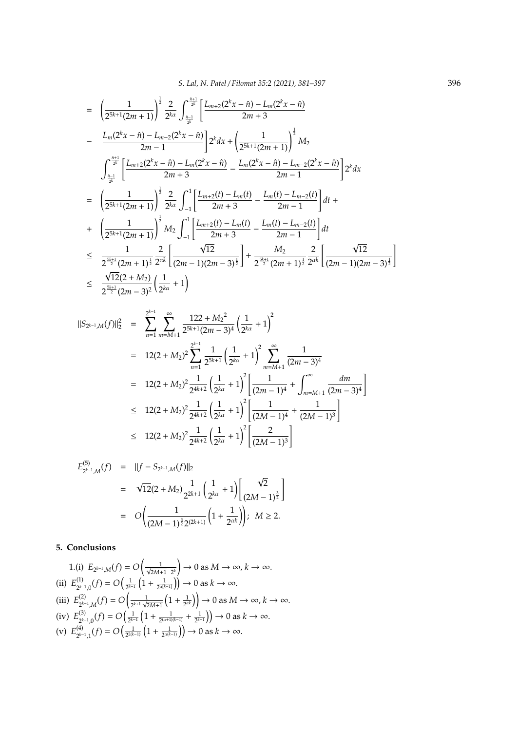$$
= \left(\frac{1}{2^{5k+1}(2m+1)}\right)^{\frac{1}{2}} \frac{2}{2^{k\alpha}} \int_{\frac{n-1}{2^{k}}}^{\frac{n+1}{2^{k}}} \left[\frac{L_{m+2}(2^{k}x-\hat{n}) - L_{m}(2^{k}x-\hat{n})}{2m+3}\right] \frac{L_{m}(2^{k}x-\hat{n}) - L_{m-2}(2^{k}x-\hat{n})}{2m-1} \left[2^{k}dx + \left(\frac{1}{2^{5k+1}(2m+1)}\right)^{\frac{1}{2}}M_{2}\right]
$$
\n
$$
= \int_{\frac{n-1}{2^{k}}}^{\frac{n+1}{2^{k}}} \left[\frac{L_{m+2}(2^{k}x-\hat{n}) - L_{m}(2^{k}x-\hat{n})}{2m+3} - \frac{L_{m}(2^{k}x-\hat{n}) - L_{m-2}(2^{k}x-\hat{n})}{2m-1}\right] 2^{k}dx
$$
\n
$$
= \left(\frac{1}{2^{5k+1}(2m+1)}\right)^{\frac{1}{2}} \frac{2}{2^{k\alpha}} \int_{-1}^{1} \left[\frac{L_{m+2}(t) - L_{m}(t)}{2m+3} - \frac{L_{m}(t) - L_{m-2}(t)}{2m-1}\right] dt + \left(\frac{1}{2^{5k+1}(2m+1)}\right)^{\frac{1}{2}} M_{2} \int_{-1}^{1} \left[\frac{L_{m+2}(t) - L_{m}(t)}{2m+3} - \frac{L_{m}(t) - L_{m-2}(t)}{2m-1}\right] dt
$$
\n
$$
\leq \frac{1}{2^{\frac{5k+1}{2}}(2m+1)^{\frac{1}{2}}} \frac{2}{2^{\alpha k}} \left[\frac{\sqrt{12}}{(2m-1)(2m-3)^{\frac{1}{2}}}\right] + \frac{M_{2}}{2^{\frac{5k+1}{2}}(2m+1)^{\frac{1}{2}}} \frac{2}{2^{\alpha k}} \left[\frac{\sqrt{12}}{(2m-1)(2m-3)^{\frac{1}{2}}}\right]
$$
\n
$$
\leq \frac{\sqrt{12}(2+M_{2})}{2^{\frac{5k+1}{2}}(2m-3)^{2}} \left(\frac{1}{2^{k\alpha}}+1\right)
$$

$$
\begin{array}{lcl}||S_{2^{k-1},M}(f)||_{2}^{2}&=&\displaystyle \sum_{n=1}^{2^{k-1}}\sum_{m=M+1}^{\infty}\frac{122+M_{2}^{2}}{2^{5k+1}(2m-3)^{4}}\left(\frac{1}{2^{k\alpha}}+1\right)^{2}\\&=&12(2+M_{2})^{2}\displaystyle \sum_{n=1}^{2^{k-1}}\frac{1}{2^{5k+1}}\left(\frac{1}{2^{k\alpha}}+1\right)^{2}\displaystyle \sum_{m=M+1}^{\infty}\frac{1}{(2m-3)^{4}}\\&=&12(2+M_{2})^{2}\frac{1}{2^{4k+2}}\left(\frac{1}{2^{k\alpha}}+1\right)^{2}\left[\frac{1}{(2m-1)^{4}}+\int_{m=M+1}^{\infty}\frac{dm}{(2m-3)^{4}}\right]\\&\leq&12(2+M_{2})^{2}\frac{1}{2^{4k+2}}\left(\frac{1}{2^{k\alpha}}+1\right)^{2}\left[\frac{1}{(2M-1)^{4}}+\frac{1}{(2M-1)^{3}}\right]\\&\leq&12(2+M_{2})^{2}\frac{1}{2^{4k+2}}\left(\frac{1}{2^{k\alpha}}+1\right)^{2}\left[\frac{2}{(2M-1)^{3}}\right] \end{array}
$$

$$
E_{2^{k-1},M}^{(5)}(f) = ||f - S_{2^{k-1},M}(f)||_2
$$
  
=  $\sqrt{12}(2 + M_2) \frac{1}{2^{2k+1}} \left(\frac{1}{2^{k\alpha}} + 1\right) \left[\frac{\sqrt{2}}{(2M-1)^{\frac{3}{2}}}\right]$   
=  $O\left(\frac{1}{(2M-1)^{\frac{3}{2}}2^{(2k+1)}}\left(1 + \frac{1}{2^{\alpha k}}\right)\right); M \ge 2.$ 

## **5. Conclusions**

1.(i) 
$$
E_{2^{k-1},M}(f) = O\left(\frac{1}{\sqrt{2M+1} - 2^k}\right) \to 0
$$
 as  $M \to \infty, k \to \infty$ .  
\n(ii)  $E_{2^{k-1},0}^{(1)}(f) = O\left(\frac{1}{2^{k-1}}\left(1 + \frac{1}{2^{\alpha(k-1)}}\right)\right) \to 0$  as  $k \to \infty$ .  
\n(iii)  $E_{2^{k-1},M}^{(2)}(f) = O\left(\frac{1}{2^{k+1}\sqrt{2M+1}}\left(1 + \frac{1}{2^{\alpha k}}\right)\right) \to 0$  as  $M \to \infty, k \to \infty$ .  
\n(iv)  $E_{2^{k-1},0}^{(3)}(f) = O\left(\frac{1}{2^{k-1}}\left(1 + \frac{1}{2^{\alpha(k-1)}} + \frac{1}{2^{k-1}}\right)\right) \to 0$  as  $k \to \infty$ .  
\n(v)  $E_{2^{k-1},1}^{(4)}(f) = O\left(\frac{1}{2^{2(k-1)}}\left(1 + \frac{1}{2^{\alpha(k-1)}}\right)\right) \to 0$  as  $k \to \infty$ .